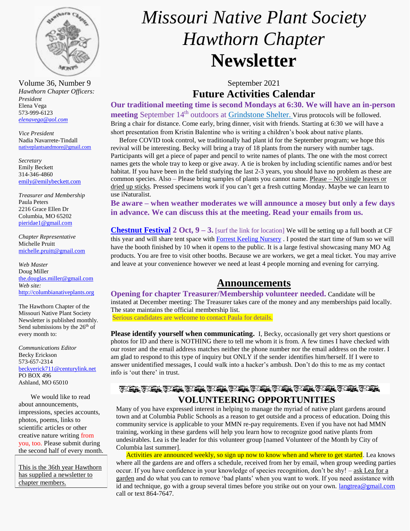

*Hawthorn Chapter Officers: President* Elena Vega 573-999-6123 *[elenavega@aol.com](mailto:elenavega@aol.com)*

*Vice President* Nadia Navarrete-Tindall [nativeplantsandmore@gmail.com](mailto:nativeplantsandmore@gmail.com)

*Secretary* Emily Beckett 314-346-4860 [emily@emilybeckett.com](mailto:emily@emilybeckett.com)

*Treasurer and Membership* Paula Peters 2216 Grace Ellen Dr Columbia, MO 65202 [pieridae1@gmail.com](mailto:pieridae1@gmail.com)

*Chapter Representative*  Michelle Pruitt [michelle.pruitt@gmail.com](mailto:michelle.pruitt@gmail.com)

*Web Master* Doug Miller [the.douglas.miller@gmail.com](mailto:the.douglas.miller@gmail.com) *Web site:* [http://columbianativeplants.org](http://columbianativeplants.org/)

The Hawthorn Chapter of the Missouri Native Plant Society Newsletter is published monthly. Send submissions by the 26<sup>th</sup> of every month to:

*Communications Editor* Becky Erickson 573-657-2314 [beckyerick711@centurylink.net](mailto:beckyerick711@centurylink.net) PO BOX 496 Ashland, MO 65010

We would like to read about announcements, impressions, species accounts, photos, poems, links to scientific articles or other creative nature writing from you, too. Please submit during the second half of every month.

This is the 36th year Hawthorn has supplied a newsletter to chapter members.

# *Missouri Native Plant Society Hawthorn Chapter* **Newsletter**

Volume 36, Number 9 September 2021 **Future Activities Calendar**

**Our traditional meeting time is second Mondays at 6:30. We will have an in-person meeting** September 14<sup>th</sup> outdoors at [Grindstone Shelter.](https://www.como.gov/contacts/grindstone-shelter/) Virus protocols will be followed. Bring a chair for distance. Come early, bring dinner, visit with friends. Starting at 6:30 we will have a short presentation from Kristin Balentine who is writing a children's book about native plants.

 Before COVID took control, we traditionally had plant id for the September program; we hope this revival will be interesting. Becky will bring a tray of 18 plants from the nursery with number tags. Participants will get a piece of paper and pencil to write names of plants. The one with the most correct names gets the whole tray to keep or give away. A tie is broken by including scientific names and/or best habitat. If you have been in the field studying the last 2-3 years, you should have no problem as these are common species. Also – Please bring samples of plants you cannot name. Please – NO single leaves or dried up sticks. Pressed specimens work if you can't get a fresh cutting Monday. Maybe we can learn to use iNaturalist.

**Be aware – when weather moderates we will announce a mosey but only a few days in advance. We can discuss this at the meeting. Read your emails from us.**

**[Chestnut Festival](https://centerforagroforestry.org/missouri-chestnut-roast-festival/)** 2 Oct,  $9 - 3$ . [surf the link for location] We will be setting up a full booth at CF this year and will share tent space with [Forrest Keeling Nursery](https://fknursery.com/) . I posted the start time of 9am so we will have the booth finished by 10 when it opens to the public. It is a large festival showcasing many MO Ag products. You are free to visit other booths. Because we are workers, we get a meal ticket. You may arrive and leave at your convenience however we need at least 4 people morning and evening for carrying.

## **Announcements**

**Opening for chapter Treasurer/Membership volunteer needed.** Candidate will be instated at December meeting: The Treasurer takes care of the money and any memberships paid locally. The state maintains the official membership list. Serious candidates are welcome to contact Paula for details.

**Please identify yourself when communicating.** I, Becky, occasionally get very short questions or photos for ID and there is NOTHING there to tell me whom it is from. A few times I have checked with our roster and the email address matches neither the phone number nor the email address on the roster. I am glad to respond to this type of inquiry but ONLY if the sender identifies him/herself. If I were to answer unidentified messages, I could walk into a hacker's ambush. Don't do this to me as my contact info is 'out there' in trust.

# **VOLUNTEERING OPPORTUNITIES**

Many of you have expressed interest in helping to manage the myriad of native plant gardens around town and at Columbia Public Schools as a reason to get outside and a process of education. Doing this community service is applicable to your MMN re-pay requirements. Even if you have not had MMN training, working in these gardens will help you learn how to recognize good native plants from undesirables. Lea is the leader for this volunteer group [named Volunteer of the Month by City of Columbia last summer].

 Activities are announced weekly, so sign up now to know when and where to get started. Lea knows where all the gardens are and offers a schedule, received from her by email, when group weeding parties occur. If you have confidence in your knowledge of species recognition, don't be shy! – ask Lea for a garden and do what you can to remove 'bad plants' when you want to work. If you need assistance with id and technique, go with a group several times before you strike out on your own. langtrea@gmail.com call or text 864-7647.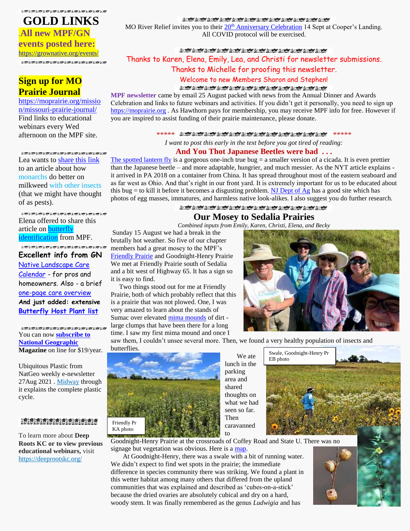**GOLD LINKS** .**All new MPF/GN events posted here:** <https://grownative.org/events/>  $\hat{G} \in \overline{\mathfrak{M}}^{\mathrm{loc}}_{\mathbb{R}}(G) \times \overline{\mathfrak{M}}^{\mathrm{loc}}_{\mathbb{R}}(G) \times \overline{\mathfrak{M}}^{\mathrm{loc}}_{\mathbb{R}}(G) \times \overline{\mathfrak{M}}^{\mathrm{loc}}_{\mathbb{R}}(G) \times \overline{\mathfrak{M}}^{\mathrm{loc}}_{\mathbb{R}}(G) \times \overline{\mathfrak{M}}^{\mathrm{loc}}_{\mathbb{R}}(G) \times \overline{\mathfrak{M}}^{\mathrm{loc}}_{\mathbb{R}}(G) \times \overline{\mathfrak{M}}^{\mathrm{loc}}_{$ 

## **Sign up for MO Prairie Journal**

[https://moprairie.org/missio](https://moprairie.org/mission/missouri-prairie-journal/) [n/missouri-prairie-journal/](https://moprairie.org/mission/missouri-prairie-journal/) Find links to educational webinars every Wed afternoon on the MPF site.

Lea wants to [share this link](https://www.monarchscience.org/single-post/monarch-caterpillar-survival-is-higher-on-milkweeds-with-lots-of-bugs?fbclid=IwAR2xDyEA4NYD8UADjoAgVRVW1fk_JnjezvieoSKrEEslA-e1V_Whd0iE7F0) to an article about how monarchs do better on milkweed with other insects (that we might have thought of as pests).

Elena offered to share this article on **butterfly** [identification](https://drive.google.com/file/d/189ztcJixsQVxgoNYqfUyKUUSbzCAfJzI/view?fbclid=IwAR2k4EU_qu40bPIjBNDBNJd4tOT_yxWleS8VZSSxf1NE6PnRkAW5oqkpz84) from MPF. 3. 第1999年10月19日19月19日19月19日 **Excellent info from GN**  [Native Landscape Care](https://grownative.org/learn/native-landscape-care-calendar/) 

[Calendar](https://grownative.org/learn/native-landscape-care-calendar/) - for pros and homeowners. Also - a brief [one-page care overview](https://drive.google.com/file/d/1qTzmImXxIQcmsawwZ_iyCM08y2lE-Nl9/view) **And just added: extensive [Butterfly Host Plant list](https://drive.google.com/file/d/18rIfDgS22Dbx_kYybW16-ypqIiAUbxd-/view)**

**お愛金療金療金療金療金療金療金療金療金療金療金療** You can now **[subscribe to](https://ngmdomsubs.nationalgeographic.com/pubs/NG/NGM/ngm_email_3_Feb21_annual_and_monthly.jsp?cds_page_id=257182&cds_mag_code=NGM&id=1624414833517&lsid=11732118110022982&vid=4)  [National Geographic](https://ngmdomsubs.nationalgeographic.com/pubs/NG/NGM/ngm_email_3_Feb21_annual_and_monthly.jsp?cds_page_id=257182&cds_mag_code=NGM&id=1624414833517&lsid=11732118110022982&vid=4) Magazine** on line for \$19/year.

Ubiquitous Plastic from NatGeo weekly e-newsletter 27Aug 2021 . [Midway](https://www.nationalgeographic.com/science/article/microplastics-in-virtually-every-crevice-on-earth?cmpid=org%3Dngp%3A%3Amc%3Dcrm-email%3A%3Asrc%3Dngp%3A%3Acmp%3Deditorial%3A%3Aadd%3DSpecialEdition_20210827&rid=79A1C0B004D8B63E7F1ADE05C9F507A8&loggedin=true) through it explains the complete plastic cycle.

#### <del>♪魔り魔り魔り魔り魔り魔り魔り魔の魔の魔の魔の魔</del><br>9)空の空の空の空の空の空の空の空の空の空の空の

To learn more about **Deep Roots KC or to view previous educational webinars,** visit [https://deeprootskc.org/](https://lnks.gd/l/eyJhbGciOiJIUzI1NiJ9.eyJidWxsZXRpbl9saW5rX2lkIjoxMDEsInVyaSI6ImJwMjpjbGljayIsImJ1bGxldGluX2lkIjoiMjAyMDA3MjcuMjQ5MDc0NjEiLCJ1cmwiOiJodHRwczovL2RlZXByb290c2tjLm9yZy8ifQ.4lSE_HuwGbHZ6R6__IJb9tFbuN1Ub9BaPSbnN0IE4ng/s/248514939/br/81516578152-l)

MO River Relief invites you to their  $20<sup>th</sup>$  [Anniversary Celebration](https://riverrelief.org/wp-content/uploads/2021/08/Celebration-Event.png) 14 Sept at Cooper's Landing. All COVID protocol will be exercised.

**STAR START START START START** 

Thanks to Karen, Elena, Emily, Lea, and Christi for newsletter submissions.

Thanks to Michelle for proofing this newsletter.

#### Welcome to new Members Sharon and Stephen!

金糖金糖金糖金糖金糖金糖金糖金糖金糖金糖金糖

**MPF newsletter** came by email 25 August packed with news from the Annual Dinner and Awards Celebration and links to future webinars and activities. If you didn't get it personally, you need to sign up [https://moprairie.org](https://moprairie.org/) . As Hawthorn pays for membership, you may receive MPF info for free. However if you are inspired to assist funding of their prairie maintenance, please donate.

#### \*\*\*\*\* \*\*\*\*\*

*I want to post this early in the text before you got tired of reading:*

#### **And You Thot Japanese Beetles were bad . . .**

[The spotted lantern fly](https://www.nytimes.com/2021/08/24/us/spotted-lanternfly-invasive-species.html?action=click&algo=bandit-all-surfaces&block=more_in_recirc&fellback=false&imp_id=506120314&impression_id=f53fb603-06c5-11ec-8098-c12958514898&index=0&pgtype=Article&pool=more_in_pools%2Fscience®ion=footer&req_id=609337010&surface=eos-more-in&variant=0_bandit-all-surfaces) is a gorgeous one-inch true bug  $=$  a smaller version of a cicada. It is even prettier than the Japanese beetle – and more adaptable, hungrier, and much messier. As the NYT article explains it arrived in PA 2018 on a container from China. It has spread throughout most of the eastern seaboard and as far west as Ohio. And that's right in our front yard. It is extremely important for us to be educated about this bug = to kill it before it becomes a disgusting problem. NJ Dept of  $Ag$  has a good site which has photos of egg masses, immatures, and harmless native look-alikes. I also suggest you do further research.

 $\begin{minipage}{0.5\textwidth} \begin{tabular}{l} \hline \textbf{0.5\textwidth} \end{tabular} \end{minipage} \begin{minipage}{0.5\textwidth} \begin{tabular}{l} \hline \textbf{0.5\textwidth} \end{tabular} \end{minipage} \begin{minipage}{0.5\textwidth} \begin{tabular}{l} \hline \textbf{0.5\textwidth} \end{tabular} \end{minipage} \begin{minipage}{0.5\textwidth} \begin{tabular}{l} \hline \textbf{0.5\textwidth} \end{tabular} \end{minipage} \begin{minipage}{0.5\textwidth} \begin{tabular}{l} \h$ 

## **Our Mosey to Sedalia Prairies**

*Combined inputs from Emily, Karen, Christi, Elena, and Becky*

Sunday 15 August we had a break in the brutally hot weather. So five of our chapter members had a great mosey to the MPF's [Friendly Prairie](https://mdc.mo.gov/discover-nature/places/friendly-prairie-conservation-area) and Goodnight-Henry Prairie We met at Friendly Prairie south of Sedalia and a bit west of Highway 65. It has a sign so it is easy to find.

 Two things stood out for me at Friendly Prairie, both of which probably reflect that this is a prairie that was not plowed. One, I was very amazed to learn about the stands of Sumac over elevated [mima mounds](https://en.wikipedia.org/wiki/Mima_mounds) of dirt large clumps that have been there for a long time. I saw my first mima mound and once I



saw them, I couldn't unsee several more. Then, we found a very healthy population of insects and butterflies.



We ate lunch in the parking area and shared thoughts on what we had seen so far. Then caravanned to



Goodnight-Henry Prairie at the crossroads of Coffey Road and State U. There was no signage but vegetation was obvious. Here is a [map.](https://www.waxwingeco.com/birding-hotspot.php?id=L11816033)

At Goodnight-Henry, there was a swale with a bit of running water. We didn't expect to find wet spots in the prairie; the immediate difference in species community there was striking. We found a plant in this wetter habitat among many others that differed from the upland communities that was explained and described as 'cubes-on-a-stick' because the dried ovaries are absolutely cubical and dry on a hard, woody stem. It was finally remembered as the genus *Ludwigia* and has

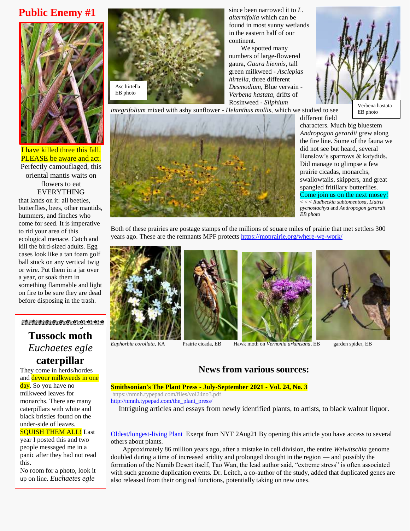# **Public Enemy #1**



I have killed three this fall. PLEASE be aware and act. Perfectly camouflaged, this oriental mantis waits on flowers to eat EVERYTHING

that lands on it: all beetles, butterflies, bees, other mantids, hummers, and finches who come for seed. It is imperative to rid your area of this ecological menace. Catch and kill the bird-sized adults. Egg cases look like a tan foam golf ball stuck on any vertical twig or wire. Put them in a jar over a year, or soak them in something flammable and light on fire to be sure they are dead before disposing in the trash.

 $\mathcal{P}(\mathcal{P}^{\text{un}}_{\text{c}}\otimes\mathcal{P}^{\text{un}}_{\text{c}}\otimes\mathcal{P}^{\text{un}}_{\text{c}}\otimes\mathcal{P}^{\text{un}}_{\text{c}}\otimes\mathcal{P}^{\text{un}}_{\text{c}}\otimes\mathcal{P}^{\text{un}}_{\text{c}}\otimes\mathcal{P}^{\text{un}}_{\text{c}}\otimes\mathcal{P}^{\text{un}}_{\text{c}}\otimes\mathcal{P}^{\text{un}}_{\text{c}}\otimes\mathcal{P}^{\text{un}}_{\text{c}}\otimes\mathcal{$ 

# **Tussock moth** *Euchaetes egle* **caterpillar**

They come in herds/hordes and devour milkweeds in one day. So you have no milkweed leaves for monarchs. There are many caterpillars with white and black bristles found on the under-side of leaves. **SOUISH THEM ALL!** Last

year I posted this and two people messaged me in a panic after they had not read this.

No room for a photo, look it up on line. *Euchaetes egle*



since been narrowed it to *L. alternifolia* which can be found in most sunny wetlands in the eastern half of our continent.

We spotted many numbers of large-flowered gaura, *Gaura biennis,* tall green milkweed *- Asclepias hirtella*, three different *Desmodium,* Blue vervain - *Verbena hastata*, drifts of Rosinweed - *Silphium* 



*integrifolium* mixed with ashy sunflower - *Helanthus mollis*, which we studied to see

Verbena hastata EB photo



different field characters. Much big bluestem *Andropogon gerardii* grew along the fire line. Some of the fauna we did not see but heard, several Henslow's sparrows & katydids. Did manage to glimpse a few prairie cicadas, monarchs, swallowtails, skippers, and great spangled fritillary butterflies. Come join us on the next mosey!

< < < *Rudbeckia subtomentosa*, *Liatris pycnostachya* and *Andropogon gerardii EB photo*

Both of these prairies are postage stamps of the millions of square miles of prairie that met settlers 300 years ago. These are the remnants MPF protects<https://moprairie.org/where-we-work/>





*Euphorbia corollata*, KA Prairie cicada, EB Hawk moth on *Vernonia arkansana*, EB garden spider, EB



## **News from various sources:**

**Smithsonian's The Plant Press - July-September 2021 - Vol. 24, No. 3** <https://nmnh.typepad.com/files/vol24no3.pdf>

[http://nmnh.typepad.com/the\\_plant\\_press/](http://nmnh.typepad.com/the_plant_press/)

Intriguing articles and essays from newly identified plants, to artists, to black walnut liquor.

[Oldest/longest-living Plant](https://www.nytimes.com/2021/07/31/science/plant-leaves-welwitschia.html?campaign_id=9&emc=edit_nn_20210801&instance_id=36836&nl=the-morning®i_id=161911183&segment_id=65069&te=1&user_id=79a1c0b004d8b63e7f1ade05c9f507a8) Exerpt from NYT 2Aug21 By opening this article you have access to several others about plants.

 Approximately 86 million years ago, after a mistake in cell division, the entire *Welwitschia* genome doubled during a time of increased aridity and prolonged drought in the region — and possibly the formation of the Namib Desert itself, Tao Wan, the lead author said, "extreme stress" is often associated with such genome duplication events. Dr. Leitch, a co-author of the study, added that duplicated genes are also released from their original functions, potentially taking on new ones.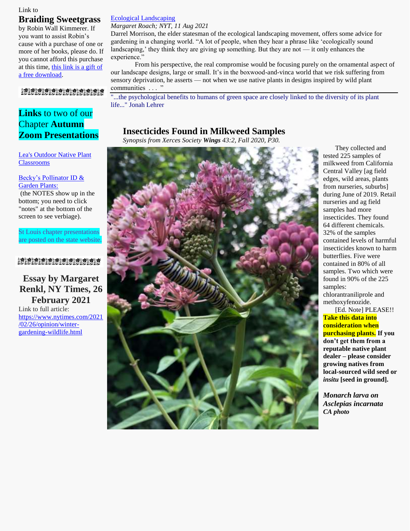### Link to **Braiding Sweetgrass**

by Robin Wall Kimmerer. If you want to assist Robin's cause with a purchase of one or more of her books, please do. If you cannot afford this purchase at this time, this link [is a gift of](https://pdforall.com/wp-content/uploads/2020/08/Braiding-Sweetgrass-PDFORALL.COM_.pdf)  [a free download.](https://pdforall.com/wp-content/uploads/2020/08/Braiding-Sweetgrass-PDFORALL.COM_.pdf)

**の整合整合整合整合整合整合整合整合整合整合整合整合** 

# **Links** to two of our Chapter **Autumn Zoom Presentations**

[Lea's Outdoor Native Plant](https://1drv.ms/p/s!AjscdYpHSUkgccDCmcryKAdf1sk?e=3YWx6d)  **[Classrooms](https://1drv.ms/p/s!AjscdYpHSUkgccDCmcryKAdf1sk?e=3YWx6d)** 

[Becky's Pollinator ID &](https://1drv.ms/p/s!AjscdYpHSUkgc3nMcng4S-pzkVU?e=qvUOJL)  [Garden Plants:](https://1drv.ms/p/s!AjscdYpHSUkgc3nMcng4S-pzkVU?e=qvUOJL)

(the NOTES show up in the bottom; you need to click "notes" at the bottom of the screen to see verbiage).

St Louis chapter presentations are posted on the state website.

#### <mark>の魔の魔の魔の魔の魔の魔の魔の魔の魔の魔の魔の魔</mark><br>の歴の歴史の歴史歴史の歴史歴史の歴史歴史の歴史

# **Essay by Margaret Renkl, NY Times, 26 February 2021**

Link to full article: [https://www.nytimes.com/2021](https://www.nytimes.com/2021/02/26/opinion/winter-gardening-wildlife.html) [/02/26/opinion/winter](https://www.nytimes.com/2021/02/26/opinion/winter-gardening-wildlife.html)[gardening-wildlife.html](https://www.nytimes.com/2021/02/26/opinion/winter-gardening-wildlife.html)

# [Ecological Landscaping](https://www.nytimes.com/2021/08/11/realestate/your-garden-may-be-pretty-but-is-it-ecologically-sound.html?campaign_id=9&emc=edit_nn_20210813&instance_id=37837&nl=the-morning®i_id=161911183&segment_id=66145&te=1&user_id=79a1c0b004d8b63e7f1ade05c9f507a8)

*Margaret Roach; NYT, 11 Aug 2021*

Darrel Morrison, the elder statesman of the ecological landscaping movement, offers some advice for gardening in a changing world. "A lot of people, when they hear a phrase like 'ecologically sound landscaping,' they think they are giving up something. But they are not — it only enhances the experience."

From his perspective, the real compromise would be focusing purely on the ornamental aspect of our landscape designs, large or small. It's in the boxwood-and-vinca world that we risk suffering from sensory deprivation, he asserts — not when we use native plants in designs inspired by wild plant communities ... "

"...the psychological benefits to humans of green space are closely linked to the diversity of its plant life..." Jonah Lehrer

# **Insecticides Found in Milkweed Samples**

*Synopsis from Xerces Society Wings 43:2, Fall 2020, P30.*



They collected and tested 225 samples of milkweed from California Central Valley [ag field edges, wild areas, plants from nurseries, suburbs] during June of 2019. Retail nurseries and ag field samples had more insecticides. They found 64 different chemicals. 32% of the samples contained levels of harmful insecticides known to harm butterflies. Five were contained in 80% of all samples. Two which were found in 90% of the 225 samples: chlorantraniliprole and methoxyfenozide.

[Ed. Note] PLEASE!! **Take this data into consideration when purchasing plants. If you don't get them from a reputable native plant dealer – please consider growing natives from local-sourced wild seed or** *insitu* **[seed in ground].**

*Monarch larva on Asclepias incarnata CA photo*